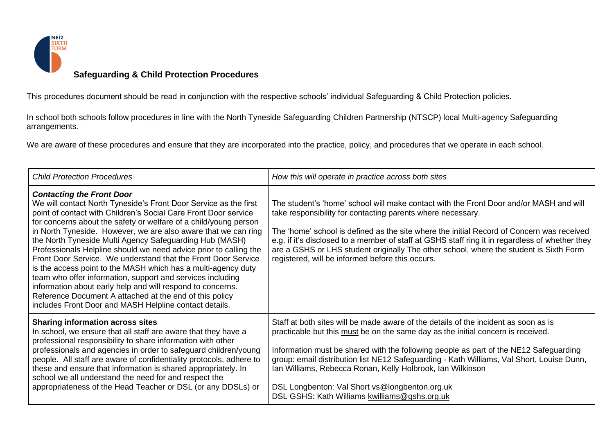

This procedures document should be read in conjunction with the respective schools' individual Safeguarding & Child Protection policies.

In school both schools follow procedures in line with the North Tyneside Safeguarding Children Partnership (NTSCP) local Multi-agency Safeguarding arrangements.

We are aware of these procedures and ensure that they are incorporated into the practice, policy, and procedures that we operate in each school.

| <b>Child Protection Procedures</b>                                                                                                                                                                                                                                                                                                                                                                                                                                                                                                                                                                                                                                                                                                                                                                                               | How this will operate in practice across both sites                                                                                                                                                                                                                                                                                                                                                                                                                                                                            |
|----------------------------------------------------------------------------------------------------------------------------------------------------------------------------------------------------------------------------------------------------------------------------------------------------------------------------------------------------------------------------------------------------------------------------------------------------------------------------------------------------------------------------------------------------------------------------------------------------------------------------------------------------------------------------------------------------------------------------------------------------------------------------------------------------------------------------------|--------------------------------------------------------------------------------------------------------------------------------------------------------------------------------------------------------------------------------------------------------------------------------------------------------------------------------------------------------------------------------------------------------------------------------------------------------------------------------------------------------------------------------|
| <b>Contacting the Front Door</b><br>We will contact North Tyneside's Front Door Service as the first<br>point of contact with Children's Social Care Front Door service<br>for concerns about the safety or welfare of a child/young person<br>in North Tyneside. However, we are also aware that we can ring<br>the North Tyneside Multi Agency Safeguarding Hub (MASH)<br>Professionals Helpline should we need advice prior to calling the<br>Front Door Service. We understand that the Front Door Service<br>is the access point to the MASH which has a multi-agency duty<br>team who offer information, support and services including<br>information about early help and will respond to concerns.<br>Reference Document A attached at the end of this policy<br>includes Front Door and MASH Helpline contact details. | The student's 'home' school will make contact with the Front Door and/or MASH and will<br>take responsibility for contacting parents where necessary.<br>The 'home' school is defined as the site where the initial Record of Concern was received<br>e.g. if it's disclosed to a member of staff at GSHS staff ring it in regardless of whether they<br>are a GSHS or LHS student originally The other school, where the student is Sixth Form<br>registered, will be informed before this occurs.                            |
| <b>Sharing information across sites</b><br>In school, we ensure that all staff are aware that they have a<br>professional responsibility to share information with other<br>professionals and agencies in order to safeguard children/young<br>people. All staff are aware of confidentiality protocols, adhere to<br>these and ensure that information is shared appropriately. In<br>school we all understand the need for and respect the<br>appropriateness of the Head Teacher or DSL (or any DDSLs) or                                                                                                                                                                                                                                                                                                                     | Staff at both sites will be made aware of the details of the incident as soon as is<br>practicable but this must be on the same day as the initial concern is received.<br>Information must be shared with the following people as part of the NE12 Safeguarding<br>group: email distribution list NE12 Safeguarding - Kath Williams, Val Short, Louise Dunn,<br>Ian Williams, Rebecca Ronan, Kelly Holbrook, Ian Wilkinson<br>DSL Longbenton: Val Short vs@longbenton.org.uk<br>DSL GSHS: Kath Williams kwilliams@gshs.org.uk |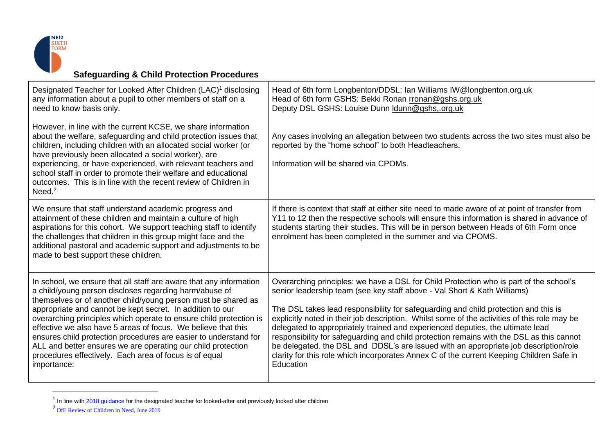

| Designated Teacher for Looked After Children (LAC) <sup>1</sup> disclosing<br>any information about a pupil to other members of staff on a<br>need to know basis only.                                                                                                                                                                                                                                                                                                                                                                                                                                         | Head of 6th form Longbenton/DDSL: Ian Williams IW@longbenton.org.uk<br>Head of 6th form GSHS: Bekki Ronan rronan@gshs.org.uk<br>Deputy DSL GSHS: Louise Dunn <b>Idunn@gshs,.org.uk</b>                                                                                                                                                                                                                                                                                                                                                                                                                                                                                                                                                   |
|----------------------------------------------------------------------------------------------------------------------------------------------------------------------------------------------------------------------------------------------------------------------------------------------------------------------------------------------------------------------------------------------------------------------------------------------------------------------------------------------------------------------------------------------------------------------------------------------------------------|------------------------------------------------------------------------------------------------------------------------------------------------------------------------------------------------------------------------------------------------------------------------------------------------------------------------------------------------------------------------------------------------------------------------------------------------------------------------------------------------------------------------------------------------------------------------------------------------------------------------------------------------------------------------------------------------------------------------------------------|
| However, in line with the current KCSE, we share information<br>about the welfare, safeguarding and child protection issues that<br>children, including children with an allocated social worker (or<br>have previously been allocated a social worker), are<br>experiencing, or have experienced, with relevant teachers and<br>school staff in order to promote their welfare and educational<br>outcomes. This is in line with the recent review of Children in<br>Need. $2$                                                                                                                                | Any cases involving an allegation between two students across the two sites must also be<br>reported by the "home school" to both Headteachers.<br>Information will be shared via CPOMs.                                                                                                                                                                                                                                                                                                                                                                                                                                                                                                                                                 |
| We ensure that staff understand academic progress and<br>attainment of these children and maintain a culture of high<br>aspirations for this cohort. We support teaching staff to identify<br>the challenges that children in this group might face and the<br>additional pastoral and academic support and adjustments to be<br>made to best support these children.                                                                                                                                                                                                                                          | If there is context that staff at either site need to made aware of at point of transfer from<br>Y11 to 12 then the respective schools will ensure this information is shared in advance of<br>students starting their studies. This will be in person between Heads of 6th Form once<br>enrolment has been completed in the summer and via CPOMS.                                                                                                                                                                                                                                                                                                                                                                                       |
| In school, we ensure that all staff are aware that any information<br>a child/young person discloses regarding harm/abuse of<br>themselves or of another child/young person must be shared as<br>appropriate and cannot be kept secret. In addition to our<br>overarching principles which operate to ensure child protection is<br>effective we also have 5 areas of focus. We believe that this<br>ensures child protection procedures are easier to understand for<br>ALL and better ensures we are operating our child protection<br>procedures effectively. Each area of focus is of equal<br>importance: | Overarching principles: we have a DSL for Child Protection who is part of the school's<br>senior leadership team (see key staff above - Val Short & Kath Williams)<br>The DSL takes lead responsibility for safeguarding and child protection and this is<br>explicitly noted in their job description. Whilst some of the activities of this role may be<br>delegated to appropriately trained and experienced deputies, the ultimate lead<br>responsibility for safeguarding and child protection remains with the DSL as this cannot<br>be delegated. the DSL and DDSL's are issued with an appropriate job description/role<br>clarity for this role which incorporates Annex C of the current Keeping Children Safe in<br>Education |

 $<sup>1</sup>$  In line with  $2018$  guidance for the designated teacher for looked-after and previously looked after children</sup>

<sup>2</sup> [DfE Review of Children in Need, June 2019](https://www.gov.uk/government/publications/review-of-children-in-need/review-of-children-in-need)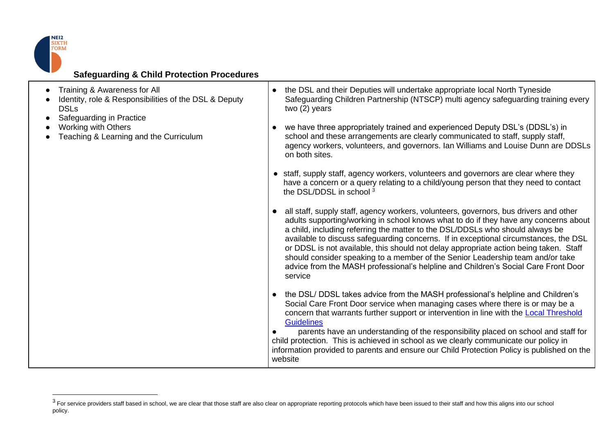

| Training & Awareness for All                            |
|---------------------------------------------------------|
| • Identity, role & Responsibilities of the DSL & Deputy |
| <b>DSLs</b>                                             |

- Safeguarding in Practice
- Working with Others
- Teaching & Learning and the Curriculum
- the DSL and their Deputies will undertake appropriate local North Tyneside Safeguarding Children Partnership (NTSCP) multi agency safeguarding training every two (2) years
- we have three appropriately trained and experienced Deputy DSL's (DDSL's) in school and these arrangements are clearly communicated to staff, supply staff, agency workers, volunteers, and governors. Ian Williams and Louise Dunn are DDSLs on both sites.
- staff, supply staff, agency workers, volunteers and governors are clear where they have a concern or a query relating to a child/young person that they need to contact the DSL/DDSL in school <sup>3</sup>
- all staff, supply staff, agency workers, volunteers, governors, bus drivers and other adults supporting/working in school knows what to do if they have any concerns about a child, including referring the matter to the DSL/DDSLs who should always be available to discuss safeguarding concerns. If in exceptional circumstances, the DSL or DDSL is not available, this should not delay appropriate action being taken. Staff should consider speaking to a member of the Senior Leadership team and/or take advice from the MASH professional's helpline and Children's Social Care Front Door service
- the DSL/ DDSL takes advice from the MASH professional's helpline and Children's Social Care Front Door service when managing cases where there is or may be a concern that warrants further support or intervention in line with the [Local Threshold](https://www.northtynesidescp.org.uk/professional/single-assessment-threshold/)  **[Guidelines](https://www.northtynesidescp.org.uk/professional/single-assessment-threshold/)**

● parents have an understanding of the responsibility placed on school and staff for child protection. This is achieved in school as we clearly communicate our policy in information provided to parents and ensure our Child Protection Policy is published on the website

 $^3$  For service providers staff based in school, we are clear that those staff are also clear on appropriate reporting protocols which have been issued to their staff and how this aligns into our school policy.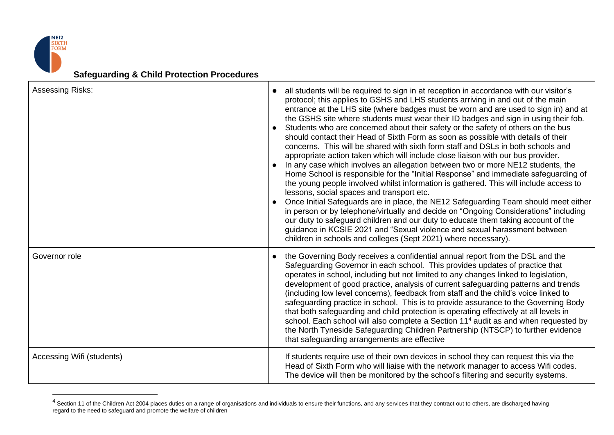

| Assessing Risks:          | all students will be required to sign in at reception in accordance with our visitor's<br>protocol; this applies to GSHS and LHS students arriving in and out of the main<br>entrance at the LHS site (where badges must be worn and are used to sign in) and at<br>the GSHS site where students must wear their ID badges and sign in using their fob.<br>Students who are concerned about their safety or the safety of others on the bus<br>$\bullet$<br>should contact their Head of Sixth Form as soon as possible with details of their<br>concerns. This will be shared with sixth form staff and DSLs in both schools and<br>appropriate action taken which will include close liaison with our bus provider.<br>In any case which involves an allegation between two or more NE12 students, the<br>Home School is responsible for the "Initial Response" and immediate safeguarding of<br>the young people involved whilst information is gathered. This will include access to<br>lessons, social spaces and transport etc.<br>Once Initial Safeguards are in place, the NE12 Safeguarding Team should meet either<br>in person or by telephone/virtually and decide on "Ongoing Considerations" including<br>our duty to safeguard children and our duty to educate them taking account of the<br>guidance in KCSIE 2021 and "Sexual violence and sexual harassment between<br>children in schools and colleges (Sept 2021) where necessary). |
|---------------------------|----------------------------------------------------------------------------------------------------------------------------------------------------------------------------------------------------------------------------------------------------------------------------------------------------------------------------------------------------------------------------------------------------------------------------------------------------------------------------------------------------------------------------------------------------------------------------------------------------------------------------------------------------------------------------------------------------------------------------------------------------------------------------------------------------------------------------------------------------------------------------------------------------------------------------------------------------------------------------------------------------------------------------------------------------------------------------------------------------------------------------------------------------------------------------------------------------------------------------------------------------------------------------------------------------------------------------------------------------------------------------------------------------------------------------------------------------------|
| Governor role             | the Governing Body receives a confidential annual report from the DSL and the<br>$\bullet$<br>Safeguarding Governor in each school. This provides updates of practice that<br>operates in school, including but not limited to any changes linked to legislation,<br>development of good practice, analysis of current safeguarding patterns and trends<br>(including low level concerns), feedback from staff and the child's voice linked to<br>safeguarding practice in school. This is to provide assurance to the Governing Body<br>that both safeguarding and child protection is operating effectively at all levels in<br>school. Each school will also complete a Section 11 <sup>4</sup> audit as and when requested by<br>the North Tyneside Safeguarding Children Partnership (NTSCP) to further evidence<br>that safeguarding arrangements are effective                                                                                                                                                                                                                                                                                                                                                                                                                                                                                                                                                                                    |
| Accessing Wifi (students) | If students require use of their own devices in school they can request this via the<br>Head of Sixth Form who will liaise with the network manager to access Wifi codes.<br>The device will then be monitored by the school's filtering and security systems.                                                                                                                                                                                                                                                                                                                                                                                                                                                                                                                                                                                                                                                                                                                                                                                                                                                                                                                                                                                                                                                                                                                                                                                           |

 $^4$  Section 11 of the Children Act 2004 places duties on a range of organisations and individuals to ensure their functions, and any services that they contract out to others, are discharged having regard to the need to safeguard and promote the welfare of children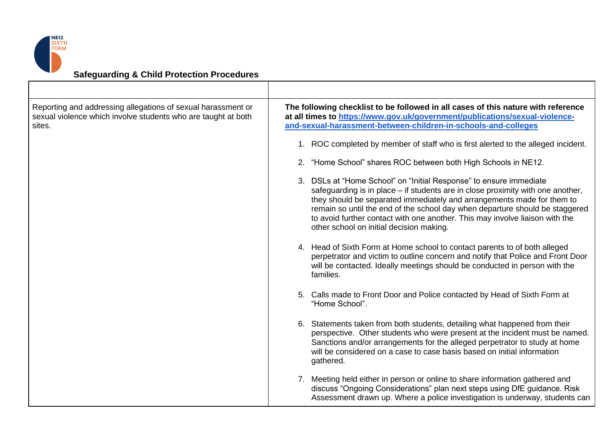

| Reporting and addressing allegations of sexual harassment or<br>sexual violence which involve students who are taught at both<br>sites. | The following checklist to be followed in all cases of this nature with reference<br>at all times to https://www.gov.uk/government/publications/sexual-violence-<br>and-sexual-harassment-between-children-in-schools-and-colleges                                                                                                                                                                                                          |
|-----------------------------------------------------------------------------------------------------------------------------------------|---------------------------------------------------------------------------------------------------------------------------------------------------------------------------------------------------------------------------------------------------------------------------------------------------------------------------------------------------------------------------------------------------------------------------------------------|
|                                                                                                                                         | 1. ROC completed by member of staff who is first alerted to the alleged incident.                                                                                                                                                                                                                                                                                                                                                           |
|                                                                                                                                         | 2. "Home School" shares ROC between both High Schools in NE12.                                                                                                                                                                                                                                                                                                                                                                              |
|                                                                                                                                         | 3. DSLs at "Home School" on "Initial Response" to ensure immediate<br>safeguarding is in place – if students are in close proximity with one another,<br>they should be separated immediately and arrangements made for them to<br>remain so until the end of the school day when departure should be staggered<br>to avoid further contact with one another. This may involve liaison with the<br>other school on initial decision making. |
|                                                                                                                                         | 4. Head of Sixth Form at Home school to contact parents to of both alleged<br>perpetrator and victim to outline concern and notify that Police and Front Door<br>will be contacted. Ideally meetings should be conducted in person with the<br>families.                                                                                                                                                                                    |
|                                                                                                                                         | 5. Calls made to Front Door and Police contacted by Head of Sixth Form at<br>"Home School".                                                                                                                                                                                                                                                                                                                                                 |
|                                                                                                                                         | 6. Statements taken from both students, detailing what happened from their<br>perspective. Other students who were present at the incident must be named.<br>Sanctions and/or arrangements for the alleged perpetrator to study at home<br>will be considered on a case to case basis based on initial information<br>gathered.                                                                                                             |
|                                                                                                                                         | 7. Meeting held either in person or online to share information gathered and<br>discuss "Ongoing Considerations" plan next steps using DfE guidance. Risk<br>Assessment drawn up. Where a police investigation is underway, students can                                                                                                                                                                                                    |